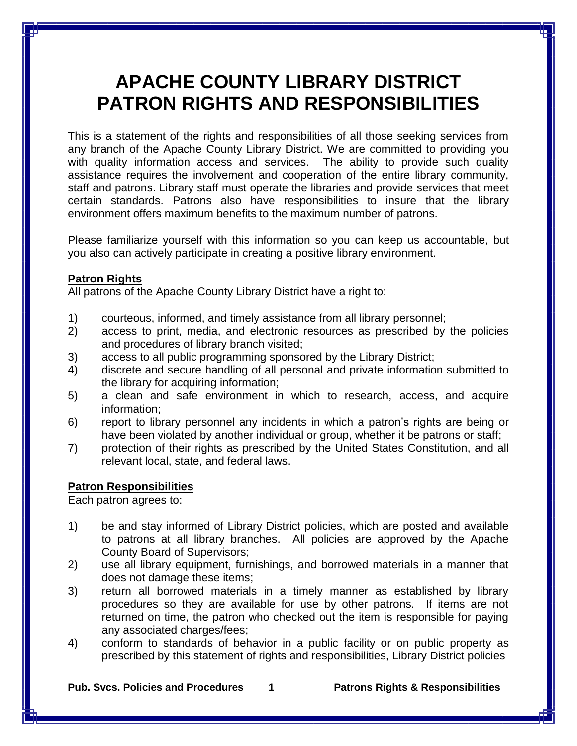## **APACHE COUNTY LIBRARY DISTRICT PATRON RIGHTS AND RESPONSIBILITIES**

This is a statement of the rights and responsibilities of all those seeking services from any branch of the Apache County Library District. We are committed to providing you with quality information access and services. The ability to provide such quality assistance requires the involvement and cooperation of the entire library community, staff and patrons. Library staff must operate the libraries and provide services that meet certain standards. Patrons also have responsibilities to insure that the library environment offers maximum benefits to the maximum number of patrons.

Please familiarize yourself with this information so you can keep us accountable, but you also can actively participate in creating a positive library environment.

## **Patron Rights**

All patrons of the Apache County Library District have a right to:

- 1) courteous, informed, and timely assistance from all library personnel;
- 2) access to print, media, and electronic resources as prescribed by the policies and procedures of library branch visited;
- 3) access to all public programming sponsored by the Library District;
- 4) discrete and secure handling of all personal and private information submitted to the library for acquiring information;
- 5) a clean and safe environment in which to research, access, and acquire information;
- 6) report to library personnel any incidents in which a patron's rights are being or have been violated by another individual or group, whether it be patrons or staff;
- 7) protection of their rights as prescribed by the United States Constitution, and all relevant local, state, and federal laws.

## **Patron Responsibilities**

Each patron agrees to:

- 1) be and stay informed of Library District policies, which are posted and available to patrons at all library branches. All policies are approved by the Apache County Board of Supervisors;
- 2) use all library equipment, furnishings, and borrowed materials in a manner that does not damage these items;
- 3) return all borrowed materials in a timely manner as established by library procedures so they are available for use by other patrons. If items are not returned on time, the patron who checked out the item is responsible for paying any associated charges/fees;
- 4) conform to standards of behavior in a public facility or on public property as prescribed by this statement of rights and responsibilities, Library District policies

**Pub. Svcs. Policies and Procedures 1 Patrons Rights & Responsibilities**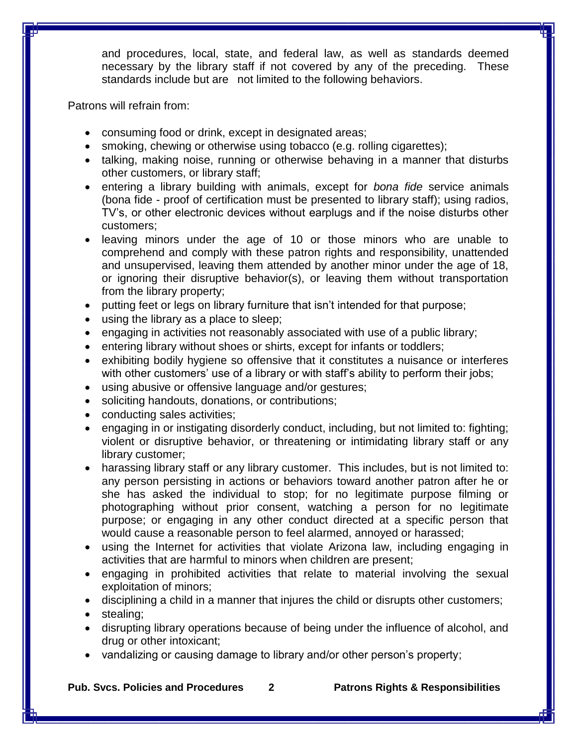and procedures, local, state, and federal law, as well as standards deemed necessary by the library staff if not covered by any of the preceding. These standards include but are not limited to the following behaviors.

Patrons will refrain from:

- consuming food or drink, except in designated areas;
- smoking, chewing or otherwise using tobacco (e.g. rolling cigarettes);
- talking, making noise, running or otherwise behaving in a manner that disturbs other customers, or library staff;
- entering a library building with animals, except for *bona fide* service animals (bona fide - proof of certification must be presented to library staff); using radios, TV's, or other electronic devices without earplugs and if the noise disturbs other customers;
- leaving minors under the age of 10 or those minors who are unable to comprehend and comply with these patron rights and responsibility, unattended and unsupervised, leaving them attended by another minor under the age of 18, or ignoring their disruptive behavior(s), or leaving them without transportation from the library property;
- putting feet or legs on library furniture that isn't intended for that purpose;
- using the library as a place to sleep;
- engaging in activities not reasonably associated with use of a public library;
- entering library without shoes or shirts, except for infants or toddlers;
- exhibiting bodily hygiene so offensive that it constitutes a nuisance or interferes with other customers' use of a library or with staff's ability to perform their jobs;
- using abusive or offensive language and/or gestures;
- soliciting handouts, donations, or contributions;
- conducting sales activities;
- engaging in or instigating disorderly conduct, including, but not limited to: fighting; violent or disruptive behavior, or threatening or intimidating library staff or any library customer;
- harassing library staff or any library customer. This includes, but is not limited to: any person persisting in actions or behaviors toward another patron after he or she has asked the individual to stop; for no legitimate purpose filming or photographing without prior consent, watching a person for no legitimate purpose; or engaging in any other conduct directed at a specific person that would cause a reasonable person to feel alarmed, annoyed or harassed;
- using the Internet for activities that violate Arizona law, including engaging in activities that are harmful to minors when children are present;
- engaging in prohibited activities that relate to material involving the sexual exploitation of minors;
- disciplining a child in a manner that injures the child or disrupts other customers;
- stealing:
- disrupting library operations because of being under the influence of alcohol, and drug or other intoxicant;
- vandalizing or causing damage to library and/or other person's property;

**Pub. Svcs. Policies and Procedures 2 Patrons Rights & Responsibilities**